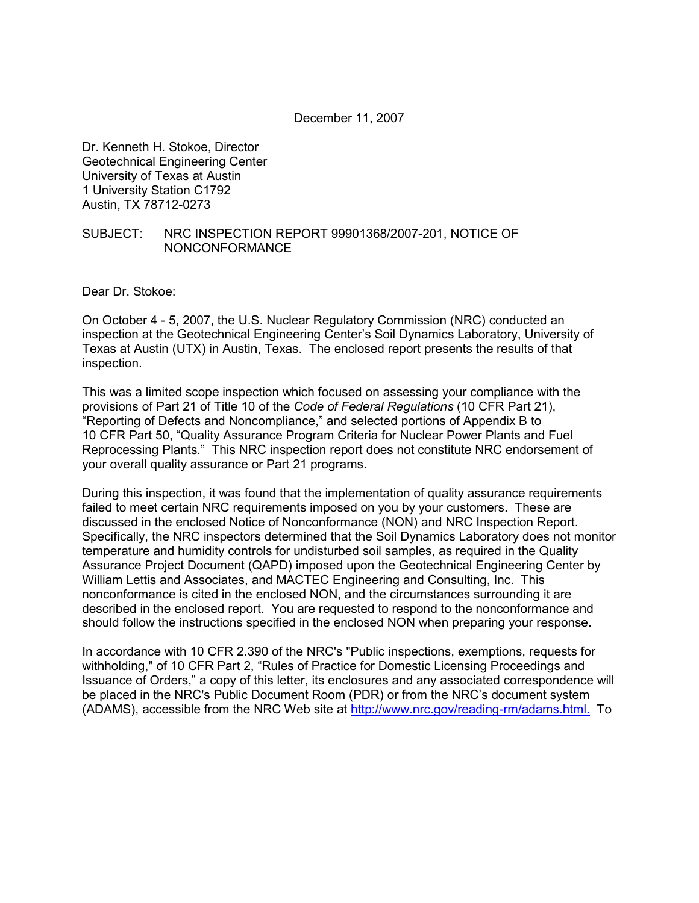December 11, 2007

Dr. Kenneth H. Stokoe, Director Geotechnical Engineering Center University of Texas at Austin 1 University Station C1792 Austin, TX 78712-0273

#### SUBJECT: NRC INSPECTION REPORT 99901368/2007-201, NOTICE OF NONCONFORMANCE

Dear Dr. Stokoe:

On October 4 - 5, 2007, the U.S. Nuclear Regulatory Commission (NRC) conducted an inspection at the Geotechnical Engineering Center's Soil Dynamics Laboratory, University of Texas at Austin (UTX) in Austin, Texas. The enclosed report presents the results of that inspection.

This was a limited scope inspection which focused on assessing your compliance with the provisions of Part 21 of Title 10 of the *Code of Federal Regulations* (10 CFR Part 21), "Reporting of Defects and Noncompliance," and selected portions of Appendix B to 10 CFR Part 50, "Quality Assurance Program Criteria for Nuclear Power Plants and Fuel Reprocessing Plants." This NRC inspection report does not constitute NRC endorsement of your overall quality assurance or Part 21 programs.

During this inspection, it was found that the implementation of quality assurance requirements failed to meet certain NRC requirements imposed on you by your customers. These are discussed in the enclosed Notice of Nonconformance (NON) and NRC Inspection Report. Specifically, the NRC inspectors determined that the Soil Dynamics Laboratory does not monitor temperature and humidity controls for undisturbed soil samples, as required in the Quality Assurance Project Document (QAPD) imposed upon the Geotechnical Engineering Center by William Lettis and Associates, and MACTEC Engineering and Consulting, Inc. This nonconformance is cited in the enclosed NON, and the circumstances surrounding it are described in the enclosed report. You are requested to respond to the nonconformance and should follow the instructions specified in the enclosed NON when preparing your response.

In accordance with 10 CFR 2.390 of the NRC's "Public inspections, exemptions, requests for withholding," of 10 CFR Part 2, "Rules of Practice for Domestic Licensing Proceedings and Issuance of Orders," a copy of this letter, its enclosures and any associated correspondence will be placed in the NRC's Public Document Room (PDR) or from the NRC's document system (ADAMS), accessible from the NRC Web site at http://www.nrc.gov/reading-rm/adams.html. To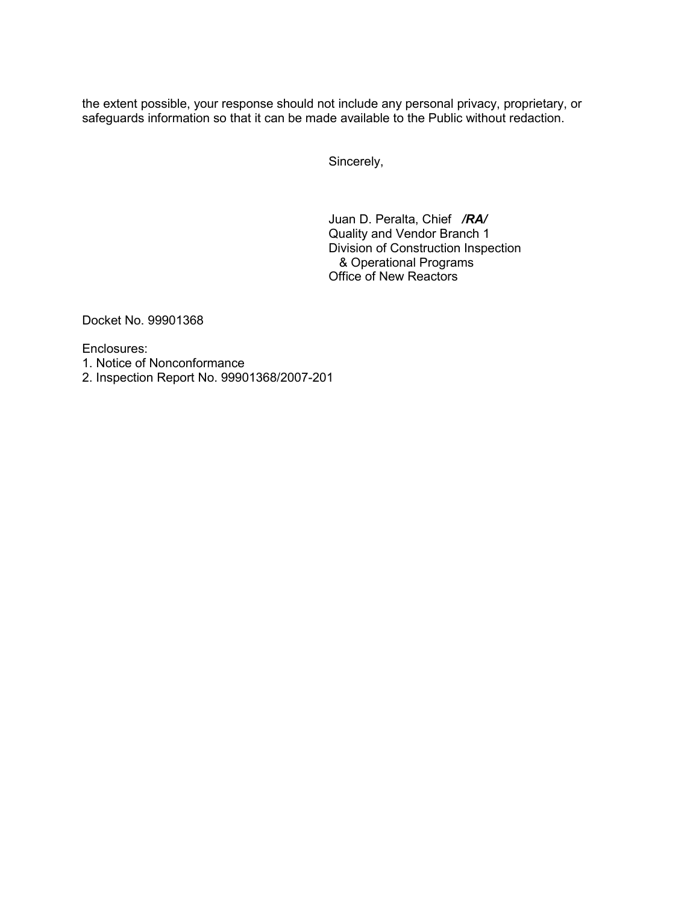the extent possible, your response should not include any personal privacy, proprietary, or safeguards information so that it can be made available to the Public without redaction.

Sincerely,

Juan D. Peralta, Chief */RA/*  Quality and Vendor Branch 1 Division of Construction Inspection & Operational Programs Office of New Reactors

Docket No. 99901368

Enclosures:

- 1. Notice of Nonconformance
- 2. Inspection Report No. 99901368/2007-201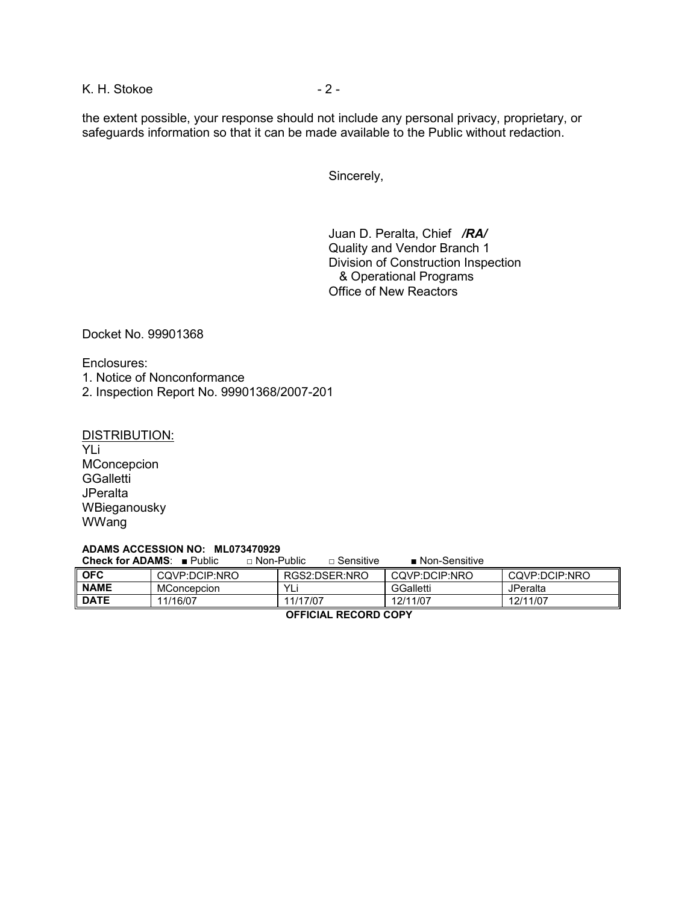K. H. Stokoe - 2 - 2 -

the extent possible, your response should not include any personal privacy, proprietary, or safeguards information so that it can be made available to the Public without redaction.

Sincerely,

Juan D. Peralta, Chief */RA/* Quality and Vendor Branch 1 Division of Construction Inspection & Operational Programs Office of New Reactors

Docket No. 99901368

Enclosures:

1. Notice of Nonconformance

2. Inspection Report No. 99901368/2007-201

#### DISTRIBUTION:

YLi **MConcepcion GGalletti JPeralta** WBieganousky WWang

#### **ADAMS ACCESSION NO: ML073470929**

|             | <b>Check for ADAMS:</b> $\blacksquare$ Public | $\sqcap$ Non-Public | $\sqcap$ Sensitive | $\blacksquare$ Non-Sensitive |               |  |
|-------------|-----------------------------------------------|---------------------|--------------------|------------------------------|---------------|--|
| <b>OFC</b>  | CQVP:DCIP:NRO                                 |                     | RGS2:DSER:NRO      | CQVP:DCIP:NRO                | CQVP:DCIP:NRO |  |
| <b>NAME</b> | <b>MConcepcion</b>                            | YLi                 |                    | GGalletti                    | JPeralta      |  |
| <b>DATE</b> | 11/16/07                                      | 11/17/07            |                    | 12/11/07                     | 12/11/07      |  |
|             |                                               |                     |                    |                              |               |  |

**OFFICIAL RECORD COPY**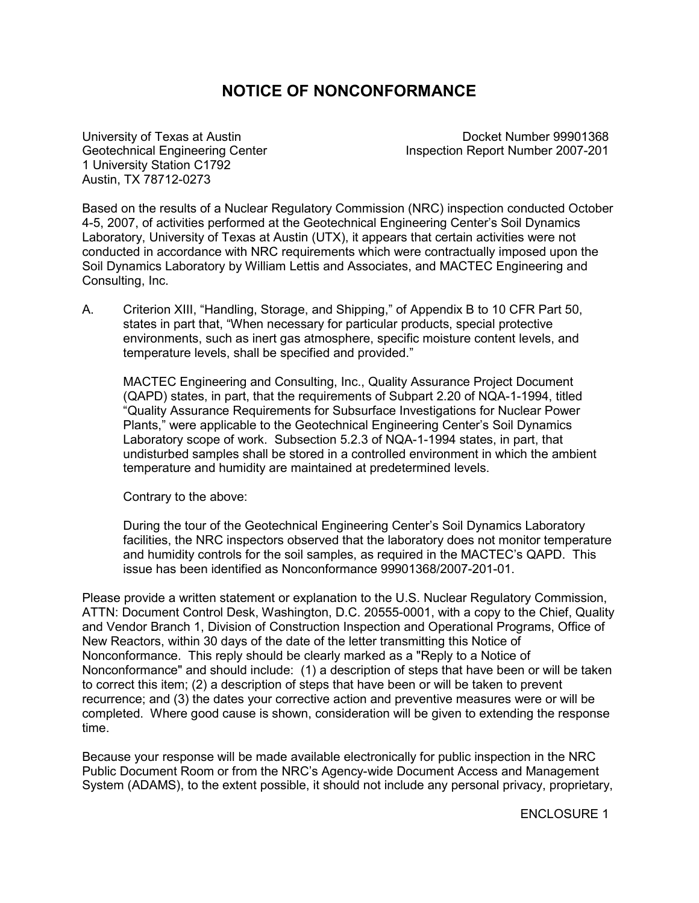# **NOTICE OF NONCONFORMANCE**

1 University Station C1792 Austin, TX 78712-0273

University of Texas at Austin Docket Number 99901368 Geotechnical Engineering Center **Inspection Report Number 2007-201** 

Based on the results of a Nuclear Regulatory Commission (NRC) inspection conducted October 4-5, 2007, of activities performed at the Geotechnical Engineering Center's Soil Dynamics Laboratory, University of Texas at Austin (UTX), it appears that certain activities were not conducted in accordance with NRC requirements which were contractually imposed upon the Soil Dynamics Laboratory by William Lettis and Associates, and MACTEC Engineering and Consulting, Inc.

A. Criterion XIII, "Handling, Storage, and Shipping," of Appendix B to 10 CFR Part 50, states in part that, "When necessary for particular products, special protective environments, such as inert gas atmosphere, specific moisture content levels, and temperature levels, shall be specified and provided."

MACTEC Engineering and Consulting, Inc., Quality Assurance Project Document (QAPD) states, in part, that the requirements of Subpart 2.20 of NQA-1-1994, titled "Quality Assurance Requirements for Subsurface Investigations for Nuclear Power Plants," were applicable to the Geotechnical Engineering Center's Soil Dynamics Laboratory scope of work. Subsection 5.2.3 of NQA-1-1994 states, in part, that undisturbed samples shall be stored in a controlled environment in which the ambient temperature and humidity are maintained at predetermined levels.

Contrary to the above:

During the tour of the Geotechnical Engineering Center's Soil Dynamics Laboratory facilities, the NRC inspectors observed that the laboratory does not monitor temperature and humidity controls for the soil samples, as required in the MACTEC's QAPD. This issue has been identified as Nonconformance 99901368/2007-201-01.

Please provide a written statement or explanation to the U.S. Nuclear Regulatory Commission, ATTN: Document Control Desk, Washington, D.C. 20555-0001, with a copy to the Chief, Quality and Vendor Branch 1, Division of Construction Inspection and Operational Programs, Office of New Reactors, within 30 days of the date of the letter transmitting this Notice of Nonconformance. This reply should be clearly marked as a "Reply to a Notice of Nonconformance" and should include: (1) a description of steps that have been or will be taken to correct this item; (2) a description of steps that have been or will be taken to prevent recurrence; and (3) the dates your corrective action and preventive measures were or will be completed. Where good cause is shown, consideration will be given to extending the response time.

Because your response will be made available electronically for public inspection in the NRC Public Document Room or from the NRC's Agency-wide Document Access and Management System (ADAMS), to the extent possible, it should not include any personal privacy, proprietary,

ENCLOSURE 1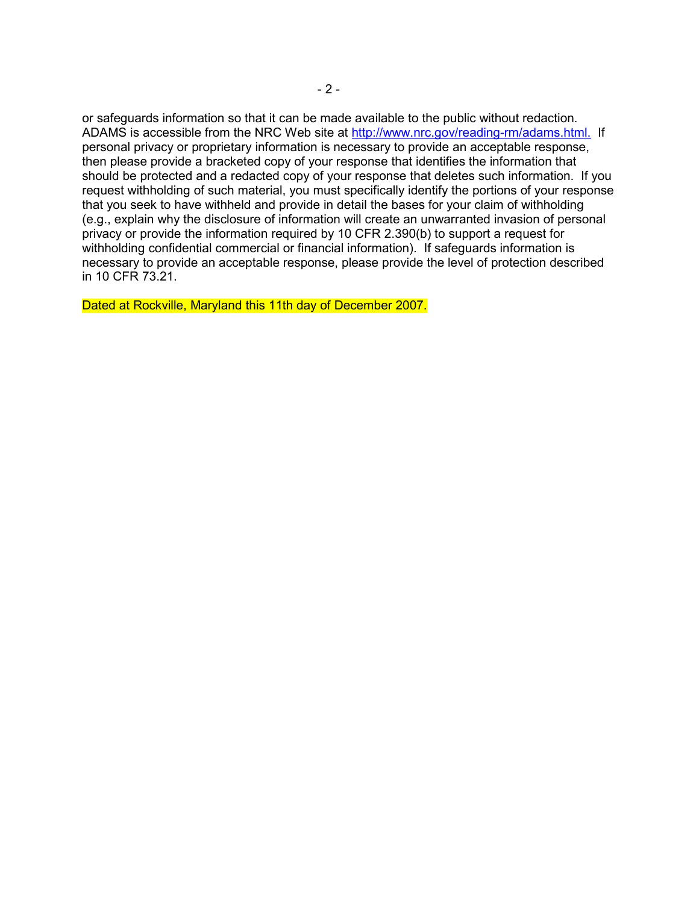or safeguards information so that it can be made available to the public without redaction. ADAMS is accessible from the NRC Web site at http://www.nrc.gov/reading-rm/adams.html. If personal privacy or proprietary information is necessary to provide an acceptable response, then please provide a bracketed copy of your response that identifies the information that should be protected and a redacted copy of your response that deletes such information. If you request withholding of such material, you must specifically identify the portions of your response that you seek to have withheld and provide in detail the bases for your claim of withholding (e.g., explain why the disclosure of information will create an unwarranted invasion of personal privacy or provide the information required by 10 CFR 2.390(b) to support a request for withholding confidential commercial or financial information). If safeguards information is necessary to provide an acceptable response, please provide the level of protection described in 10 CFR 73.21.

Dated at Rockville, Maryland this 11th day of December 2007.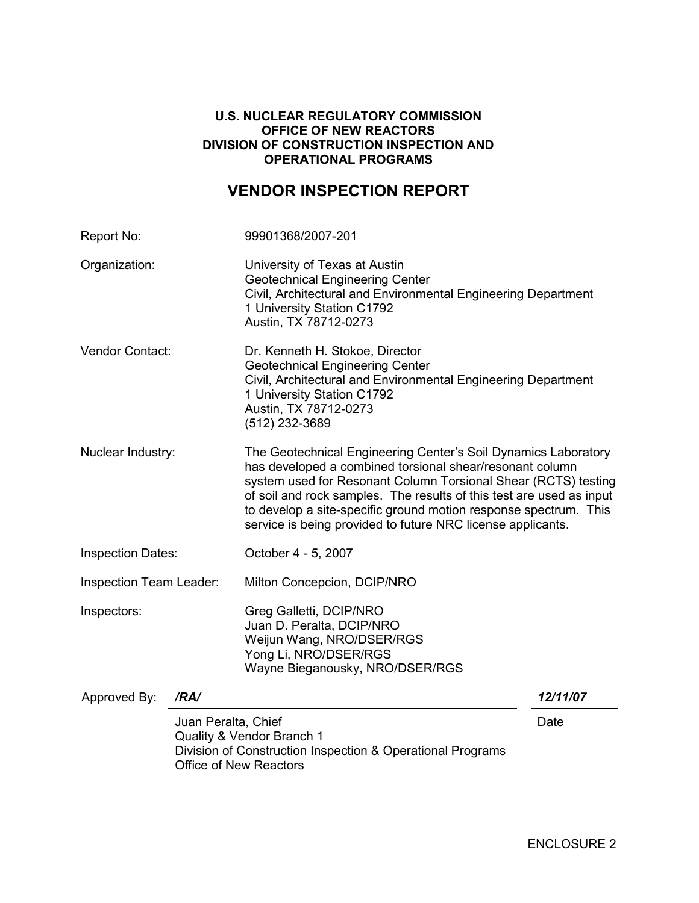## **U.S. NUCLEAR REGULATORY COMMISSION OFFICE OF NEW REACTORS DIVISION OF CONSTRUCTION INSPECTION AND OPERATIONAL PROGRAMS**

# **VENDOR INSPECTION REPORT**

| Report No:               |                                                      | 99901368/2007-201                                                                                                                                                                                                                                                                                                                                                                                       |          |  |  |
|--------------------------|------------------------------------------------------|---------------------------------------------------------------------------------------------------------------------------------------------------------------------------------------------------------------------------------------------------------------------------------------------------------------------------------------------------------------------------------------------------------|----------|--|--|
| Organization:            |                                                      | University of Texas at Austin<br><b>Geotechnical Engineering Center</b><br>Civil, Architectural and Environmental Engineering Department<br>1 University Station C1792<br>Austin, TX 78712-0273                                                                                                                                                                                                         |          |  |  |
| Vendor Contact:          |                                                      | Dr. Kenneth H. Stokoe, Director<br><b>Geotechnical Engineering Center</b><br>Civil, Architectural and Environmental Engineering Department<br>1 University Station C1792<br>Austin, TX 78712-0273<br>(512) 232-3689                                                                                                                                                                                     |          |  |  |
| Nuclear Industry:        |                                                      | The Geotechnical Engineering Center's Soil Dynamics Laboratory<br>has developed a combined torsional shear/resonant column<br>system used for Resonant Column Torsional Shear (RCTS) testing<br>of soil and rock samples. The results of this test are used as input<br>to develop a site-specific ground motion response spectrum. This<br>service is being provided to future NRC license applicants. |          |  |  |
| <b>Inspection Dates:</b> |                                                      | October 4 - 5, 2007                                                                                                                                                                                                                                                                                                                                                                                     |          |  |  |
| Inspection Team Leader:  |                                                      | Milton Concepcion, DCIP/NRO                                                                                                                                                                                                                                                                                                                                                                             |          |  |  |
| Inspectors:              |                                                      | Greg Galletti, DCIP/NRO<br>Juan D. Peralta, DCIP/NRO<br>Weijun Wang, NRO/DSER/RGS<br>Yong Li, NRO/DSER/RGS<br>Wayne Bieganousky, NRO/DSER/RGS                                                                                                                                                                                                                                                           |          |  |  |
| Approved By:             | /RA/                                                 |                                                                                                                                                                                                                                                                                                                                                                                                         | 12/11/07 |  |  |
|                          | Juan Peralta, Chief<br><b>Office of New Reactors</b> | Quality & Vendor Branch 1<br>Division of Construction Inspection & Operational Programs                                                                                                                                                                                                                                                                                                                 | Date     |  |  |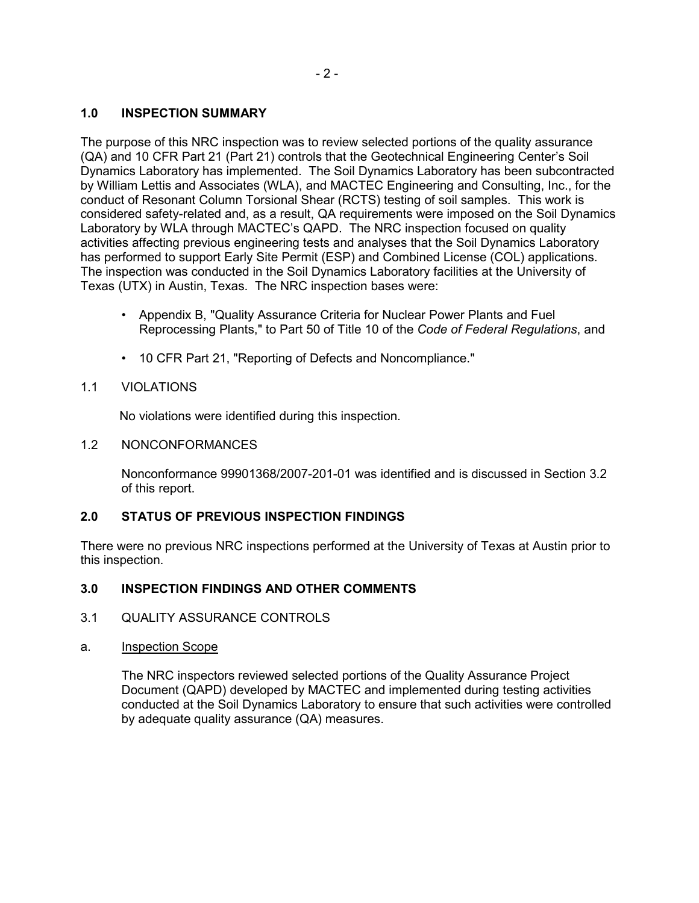# **1.0 INSPECTION SUMMARY**

The purpose of this NRC inspection was to review selected portions of the quality assurance (QA) and 10 CFR Part 21 (Part 21) controls that the Geotechnical Engineering Center's Soil Dynamics Laboratory has implemented. The Soil Dynamics Laboratory has been subcontracted by William Lettis and Associates (WLA), and MACTEC Engineering and Consulting, Inc., for the conduct of Resonant Column Torsional Shear (RCTS) testing of soil samples. This work is considered safety-related and, as a result, QA requirements were imposed on the Soil Dynamics Laboratory by WLA through MACTEC's QAPD. The NRC inspection focused on quality activities affecting previous engineering tests and analyses that the Soil Dynamics Laboratory has performed to support Early Site Permit (ESP) and Combined License (COL) applications. The inspection was conducted in the Soil Dynamics Laboratory facilities at the University of Texas (UTX) in Austin, Texas. The NRC inspection bases were:

- Appendix B, "Quality Assurance Criteria for Nuclear Power Plants and Fuel Reprocessing Plants," to Part 50 of Title 10 of the *Code of Federal Regulations*, and
- 10 CFR Part 21, "Reporting of Defects and Noncompliance."

# 1.1 VIOLATIONS

No violations were identified during this inspection.

1.2 NONCONFORMANCES

Nonconformance 99901368/2007-201-01 was identified and is discussed in Section 3.2 of this report.

# **2.0 STATUS OF PREVIOUS INSPECTION FINDINGS**

There were no previous NRC inspections performed at the University of Texas at Austin prior to this inspection.

# **3.0 INSPECTION FINDINGS AND OTHER COMMENTS**

- 3.1 QUALITY ASSURANCE CONTROLS
- a. Inspection Scope

The NRC inspectors reviewed selected portions of the Quality Assurance Project Document (QAPD) developed by MACTEC and implemented during testing activities conducted at the Soil Dynamics Laboratory to ensure that such activities were controlled by adequate quality assurance (QA) measures.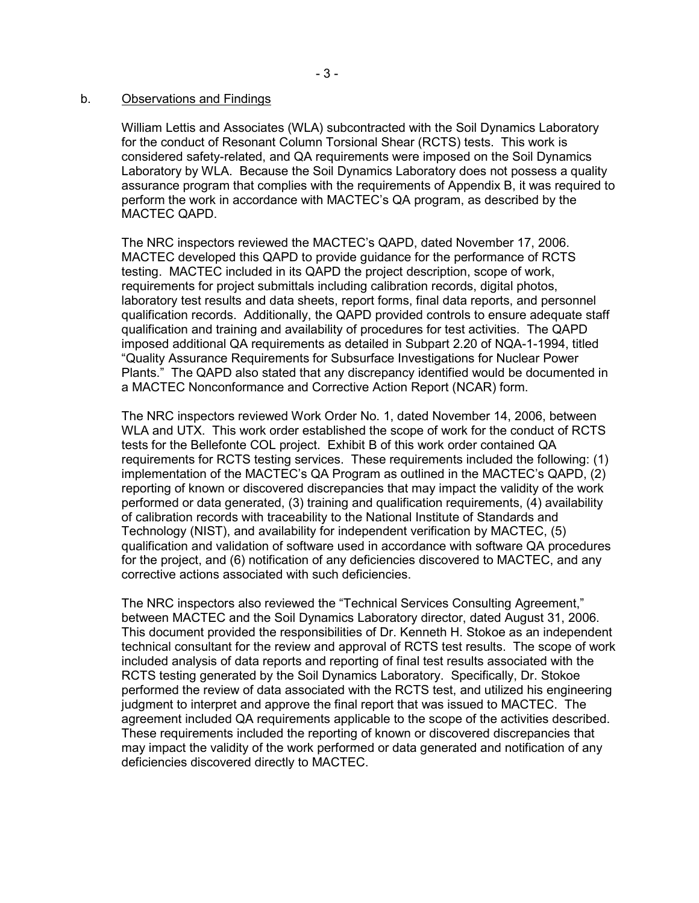#### b. Observations and Findings

William Lettis and Associates (WLA) subcontracted with the Soil Dynamics Laboratory for the conduct of Resonant Column Torsional Shear (RCTS) tests. This work is considered safety-related, and QA requirements were imposed on the Soil Dynamics Laboratory by WLA. Because the Soil Dynamics Laboratory does not possess a quality assurance program that complies with the requirements of Appendix B, it was required to perform the work in accordance with MACTEC's QA program, as described by the MACTEC QAPD.

The NRC inspectors reviewed the MACTEC's QAPD, dated November 17, 2006. MACTEC developed this QAPD to provide guidance for the performance of RCTS testing. MACTEC included in its QAPD the project description, scope of work, requirements for project submittals including calibration records, digital photos, laboratory test results and data sheets, report forms, final data reports, and personnel qualification records. Additionally, the QAPD provided controls to ensure adequate staff qualification and training and availability of procedures for test activities. The QAPD imposed additional QA requirements as detailed in Subpart 2.20 of NQA-1-1994, titled "Quality Assurance Requirements for Subsurface Investigations for Nuclear Power Plants." The QAPD also stated that any discrepancy identified would be documented in a MACTEC Nonconformance and Corrective Action Report (NCAR) form.

The NRC inspectors reviewed Work Order No. 1, dated November 14, 2006, between WLA and UTX. This work order established the scope of work for the conduct of RCTS tests for the Bellefonte COL project. Exhibit B of this work order contained QA requirements for RCTS testing services. These requirements included the following: (1) implementation of the MACTEC's QA Program as outlined in the MACTEC's QAPD, (2) reporting of known or discovered discrepancies that may impact the validity of the work performed or data generated, (3) training and qualification requirements, (4) availability of calibration records with traceability to the National Institute of Standards and Technology (NIST), and availability for independent verification by MACTEC, (5) qualification and validation of software used in accordance with software QA procedures for the project, and (6) notification of any deficiencies discovered to MACTEC, and any corrective actions associated with such deficiencies.

The NRC inspectors also reviewed the "Technical Services Consulting Agreement," between MACTEC and the Soil Dynamics Laboratory director, dated August 31, 2006. This document provided the responsibilities of Dr. Kenneth H. Stokoe as an independent technical consultant for the review and approval of RCTS test results. The scope of work included analysis of data reports and reporting of final test results associated with the RCTS testing generated by the Soil Dynamics Laboratory. Specifically, Dr. Stokoe performed the review of data associated with the RCTS test, and utilized his engineering judgment to interpret and approve the final report that was issued to MACTEC. The agreement included QA requirements applicable to the scope of the activities described. These requirements included the reporting of known or discovered discrepancies that may impact the validity of the work performed or data generated and notification of any deficiencies discovered directly to MACTEC.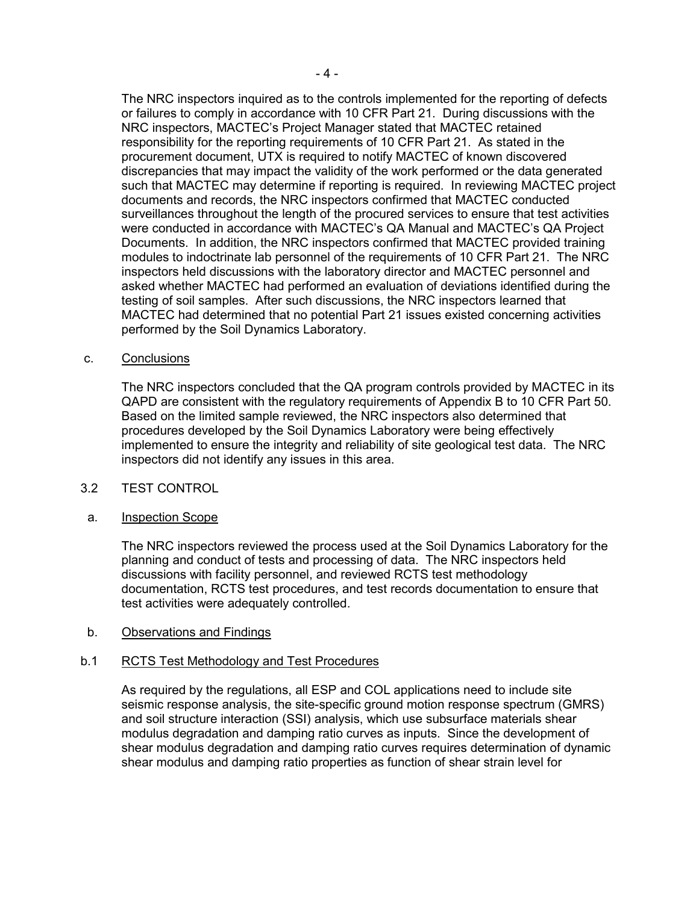The NRC inspectors inquired as to the controls implemented for the reporting of defects or failures to comply in accordance with 10 CFR Part 21. During discussions with the NRC inspectors, MACTEC's Project Manager stated that MACTEC retained responsibility for the reporting requirements of 10 CFR Part 21. As stated in the procurement document, UTX is required to notify MACTEC of known discovered discrepancies that may impact the validity of the work performed or the data generated such that MACTEC may determine if reporting is required. In reviewing MACTEC project documents and records, the NRC inspectors confirmed that MACTEC conducted surveillances throughout the length of the procured services to ensure that test activities were conducted in accordance with MACTEC's QA Manual and MACTEC's QA Project Documents. In addition, the NRC inspectors confirmed that MACTEC provided training modules to indoctrinate lab personnel of the requirements of 10 CFR Part 21. The NRC inspectors held discussions with the laboratory director and MACTEC personnel and asked whether MACTEC had performed an evaluation of deviations identified during the testing of soil samples. After such discussions, the NRC inspectors learned that MACTEC had determined that no potential Part 21 issues existed concerning activities performed by the Soil Dynamics Laboratory.

#### c. Conclusions

The NRC inspectors concluded that the QA program controls provided by MACTEC in its QAPD are consistent with the regulatory requirements of Appendix B to 10 CFR Part 50. Based on the limited sample reviewed, the NRC inspectors also determined that procedures developed by the Soil Dynamics Laboratory were being effectively implemented to ensure the integrity and reliability of site geological test data. The NRC inspectors did not identify any issues in this area.

#### 3.2 TEST CONTROL

#### a. Inspection Scope

The NRC inspectors reviewed the process used at the Soil Dynamics Laboratory for the planning and conduct of tests and processing of data. The NRC inspectors held discussions with facility personnel, and reviewed RCTS test methodology documentation, RCTS test procedures, and test records documentation to ensure that test activities were adequately controlled.

#### b. Observations and Findings

# b.1 RCTS Test Methodology and Test Procedures

As required by the regulations, all ESP and COL applications need to include site seismic response analysis, the site-specific ground motion response spectrum (GMRS) and soil structure interaction (SSI) analysis, which use subsurface materials shear modulus degradation and damping ratio curves as inputs. Since the development of shear modulus degradation and damping ratio curves requires determination of dynamic shear modulus and damping ratio properties as function of shear strain level for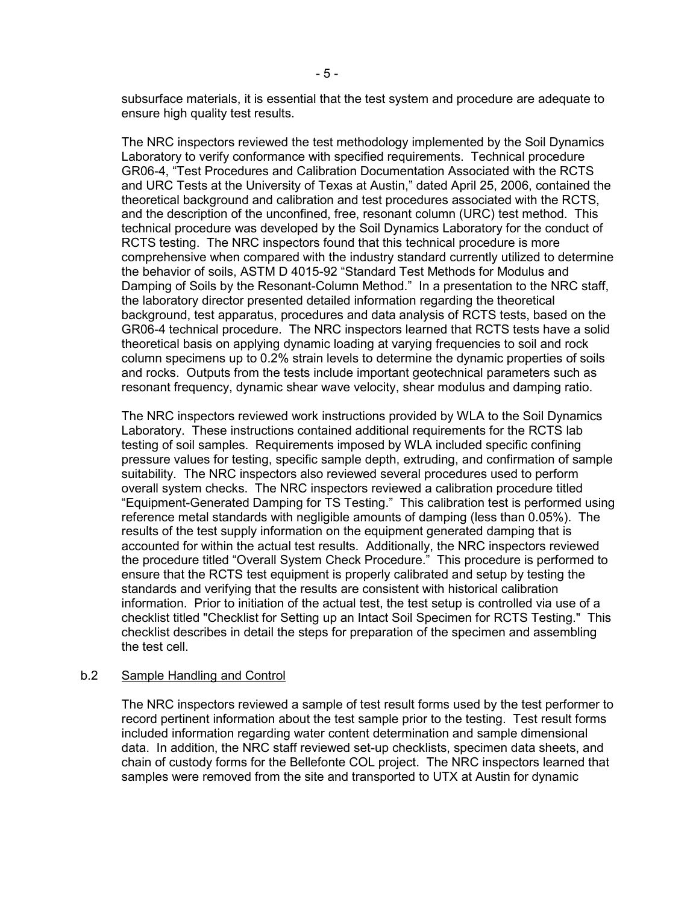subsurface materials, it is essential that the test system and procedure are adequate to ensure high quality test results.

The NRC inspectors reviewed the test methodology implemented by the Soil Dynamics Laboratory to verify conformance with specified requirements. Technical procedure GR06-4, "Test Procedures and Calibration Documentation Associated with the RCTS and URC Tests at the University of Texas at Austin," dated April 25, 2006, contained the theoretical background and calibration and test procedures associated with the RCTS, and the description of the unconfined, free, resonant column (URC) test method. This technical procedure was developed by the Soil Dynamics Laboratory for the conduct of RCTS testing. The NRC inspectors found that this technical procedure is more comprehensive when compared with the industry standard currently utilized to determine the behavior of soils, ASTM D 4015-92 "Standard Test Methods for Modulus and Damping of Soils by the Resonant-Column Method." In a presentation to the NRC staff, the laboratory director presented detailed information regarding the theoretical background, test apparatus, procedures and data analysis of RCTS tests, based on the GR06-4 technical procedure. The NRC inspectors learned that RCTS tests have a solid theoretical basis on applying dynamic loading at varying frequencies to soil and rock column specimens up to 0.2% strain levels to determine the dynamic properties of soils and rocks. Outputs from the tests include important geotechnical parameters such as resonant frequency, dynamic shear wave velocity, shear modulus and damping ratio.

The NRC inspectors reviewed work instructions provided by WLA to the Soil Dynamics Laboratory. These instructions contained additional requirements for the RCTS lab testing of soil samples. Requirements imposed by WLA included specific confining pressure values for testing, specific sample depth, extruding, and confirmation of sample suitability. The NRC inspectors also reviewed several procedures used to perform overall system checks. The NRC inspectors reviewed a calibration procedure titled "Equipment-Generated Damping for TS Testing." This calibration test is performed using reference metal standards with negligible amounts of damping (less than 0.05%). The results of the test supply information on the equipment generated damping that is accounted for within the actual test results. Additionally, the NRC inspectors reviewed the procedure titled "Overall System Check Procedure." This procedure is performed to ensure that the RCTS test equipment is properly calibrated and setup by testing the standards and verifying that the results are consistent with historical calibration information. Prior to initiation of the actual test, the test setup is controlled via use of a checklist titled "Checklist for Setting up an Intact Soil Specimen for RCTS Testing." This checklist describes in detail the steps for preparation of the specimen and assembling the test cell.

#### b.2 Sample Handling and Control

The NRC inspectors reviewed a sample of test result forms used by the test performer to record pertinent information about the test sample prior to the testing. Test result forms included information regarding water content determination and sample dimensional data. In addition, the NRC staff reviewed set-up checklists, specimen data sheets, and chain of custody forms for the Bellefonte COL project. The NRC inspectors learned that samples were removed from the site and transported to UTX at Austin for dynamic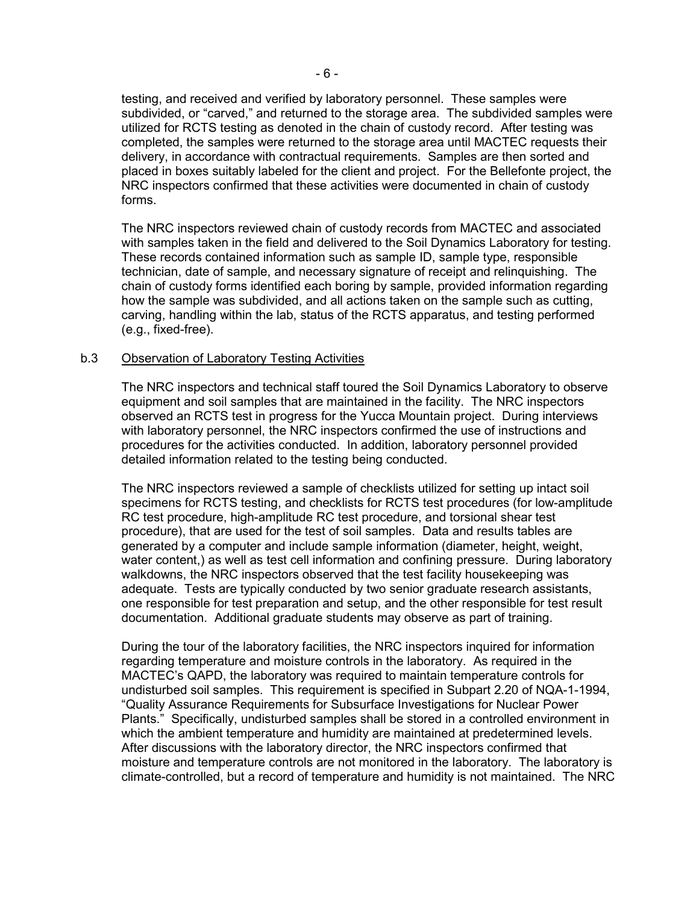testing, and received and verified by laboratory personnel. These samples were subdivided, or "carved," and returned to the storage area. The subdivided samples were utilized for RCTS testing as denoted in the chain of custody record. After testing was completed, the samples were returned to the storage area until MACTEC requests their delivery, in accordance with contractual requirements. Samples are then sorted and placed in boxes suitably labeled for the client and project. For the Bellefonte project, the NRC inspectors confirmed that these activities were documented in chain of custody forms.

The NRC inspectors reviewed chain of custody records from MACTEC and associated with samples taken in the field and delivered to the Soil Dynamics Laboratory for testing. These records contained information such as sample ID, sample type, responsible technician, date of sample, and necessary signature of receipt and relinquishing. The chain of custody forms identified each boring by sample, provided information regarding how the sample was subdivided, and all actions taken on the sample such as cutting, carving, handling within the lab, status of the RCTS apparatus, and testing performed (e.g., fixed-free).

#### b.3 Observation of Laboratory Testing Activities

The NRC inspectors and technical staff toured the Soil Dynamics Laboratory to observe equipment and soil samples that are maintained in the facility. The NRC inspectors observed an RCTS test in progress for the Yucca Mountain project. During interviews with laboratory personnel, the NRC inspectors confirmed the use of instructions and procedures for the activities conducted. In addition, laboratory personnel provided detailed information related to the testing being conducted.

The NRC inspectors reviewed a sample of checklists utilized for setting up intact soil specimens for RCTS testing, and checklists for RCTS test procedures (for low-amplitude RC test procedure, high-amplitude RC test procedure, and torsional shear test procedure), that are used for the test of soil samples. Data and results tables are generated by a computer and include sample information (diameter, height, weight, water content,) as well as test cell information and confining pressure. During laboratory walkdowns, the NRC inspectors observed that the test facility housekeeping was adequate. Tests are typically conducted by two senior graduate research assistants, one responsible for test preparation and setup, and the other responsible for test result documentation. Additional graduate students may observe as part of training.

During the tour of the laboratory facilities, the NRC inspectors inquired for information regarding temperature and moisture controls in the laboratory. As required in the MACTEC's QAPD, the laboratory was required to maintain temperature controls for undisturbed soil samples. This requirement is specified in Subpart 2.20 of NQA-1-1994, "Quality Assurance Requirements for Subsurface Investigations for Nuclear Power Plants." Specifically, undisturbed samples shall be stored in a controlled environment in which the ambient temperature and humidity are maintained at predetermined levels. After discussions with the laboratory director, the NRC inspectors confirmed that moisture and temperature controls are not monitored in the laboratory. The laboratory is climate-controlled, but a record of temperature and humidity is not maintained. The NRC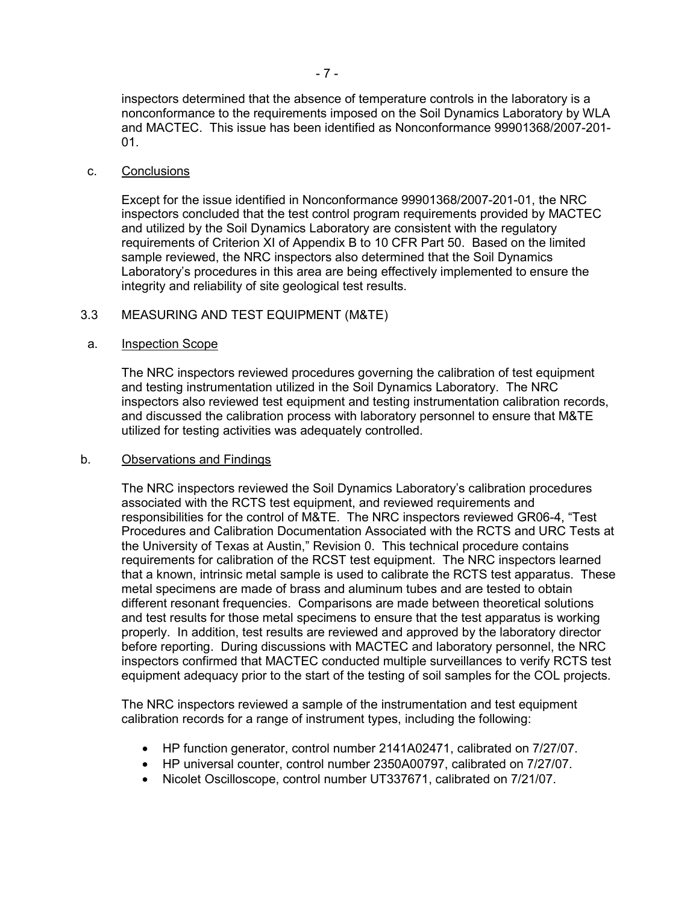inspectors determined that the absence of temperature controls in the laboratory is a nonconformance to the requirements imposed on the Soil Dynamics Laboratory by WLA and MACTEC. This issue has been identified as Nonconformance 99901368/2007-201- 01.

#### c. Conclusions

Except for the issue identified in Nonconformance 99901368/2007-201-01, the NRC inspectors concluded that the test control program requirements provided by MACTEC and utilized by the Soil Dynamics Laboratory are consistent with the regulatory requirements of Criterion XI of Appendix B to 10 CFR Part 50. Based on the limited sample reviewed, the NRC inspectors also determined that the Soil Dynamics Laboratory's procedures in this area are being effectively implemented to ensure the integrity and reliability of site geological test results.

#### 3.3 MEASURING AND TEST EQUIPMENT (M&TE)

#### a. Inspection Scope

The NRC inspectors reviewed procedures governing the calibration of test equipment and testing instrumentation utilized in the Soil Dynamics Laboratory. The NRC inspectors also reviewed test equipment and testing instrumentation calibration records, and discussed the calibration process with laboratory personnel to ensure that M&TE utilized for testing activities was adequately controlled.

#### b. Observations and Findings

The NRC inspectors reviewed the Soil Dynamics Laboratory's calibration procedures associated with the RCTS test equipment, and reviewed requirements and responsibilities for the control of M&TE. The NRC inspectors reviewed GR06-4, "Test Procedures and Calibration Documentation Associated with the RCTS and URC Tests at the University of Texas at Austin," Revision 0. This technical procedure contains requirements for calibration of the RCST test equipment. The NRC inspectors learned that a known, intrinsic metal sample is used to calibrate the RCTS test apparatus. These metal specimens are made of brass and aluminum tubes and are tested to obtain different resonant frequencies. Comparisons are made between theoretical solutions and test results for those metal specimens to ensure that the test apparatus is working properly. In addition, test results are reviewed and approved by the laboratory director before reporting. During discussions with MACTEC and laboratory personnel, the NRC inspectors confirmed that MACTEC conducted multiple surveillances to verify RCTS test equipment adequacy prior to the start of the testing of soil samples for the COL projects.

The NRC inspectors reviewed a sample of the instrumentation and test equipment calibration records for a range of instrument types, including the following:

- HP function generator, control number 2141A02471, calibrated on 7/27/07.
- HP universal counter, control number 2350A00797, calibrated on 7/27/07.
- Nicolet Oscilloscope, control number UT337671, calibrated on 7/21/07.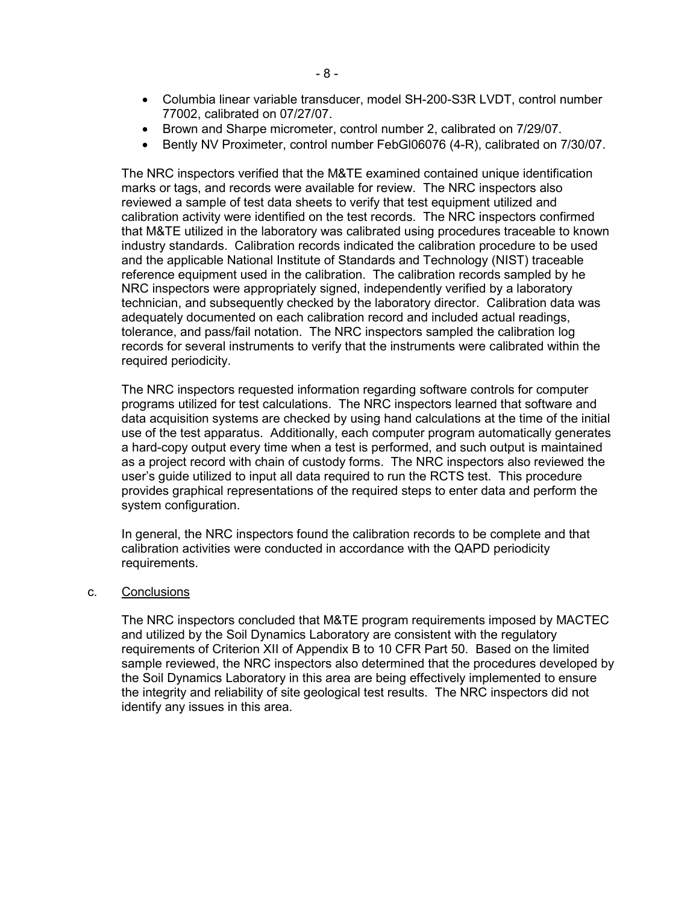- Columbia linear variable transducer, model SH-200-S3R LVDT, control number 77002, calibrated on 07/27/07.
- Brown and Sharpe micrometer, control number 2, calibrated on 7/29/07.
- Bently NV Proximeter, control number FebGl06076 (4-R), calibrated on 7/30/07.

The NRC inspectors verified that the M&TE examined contained unique identification marks or tags, and records were available for review. The NRC inspectors also reviewed a sample of test data sheets to verify that test equipment utilized and calibration activity were identified on the test records. The NRC inspectors confirmed that M&TE utilized in the laboratory was calibrated using procedures traceable to known industry standards. Calibration records indicated the calibration procedure to be used and the applicable National Institute of Standards and Technology (NIST) traceable reference equipment used in the calibration. The calibration records sampled by he NRC inspectors were appropriately signed, independently verified by a laboratory technician, and subsequently checked by the laboratory director. Calibration data was adequately documented on each calibration record and included actual readings, tolerance, and pass/fail notation. The NRC inspectors sampled the calibration log records for several instruments to verify that the instruments were calibrated within the required periodicity.

The NRC inspectors requested information regarding software controls for computer programs utilized for test calculations. The NRC inspectors learned that software and data acquisition systems are checked by using hand calculations at the time of the initial use of the test apparatus. Additionally, each computer program automatically generates a hard-copy output every time when a test is performed, and such output is maintained as a project record with chain of custody forms. The NRC inspectors also reviewed the user's guide utilized to input all data required to run the RCTS test. This procedure provides graphical representations of the required steps to enter data and perform the system configuration.

In general, the NRC inspectors found the calibration records to be complete and that calibration activities were conducted in accordance with the QAPD periodicity requirements.

#### c. Conclusions

The NRC inspectors concluded that M&TE program requirements imposed by MACTEC and utilized by the Soil Dynamics Laboratory are consistent with the regulatory requirements of Criterion XII of Appendix B to 10 CFR Part 50. Based on the limited sample reviewed, the NRC inspectors also determined that the procedures developed by the Soil Dynamics Laboratory in this area are being effectively implemented to ensure the integrity and reliability of site geological test results. The NRC inspectors did not identify any issues in this area.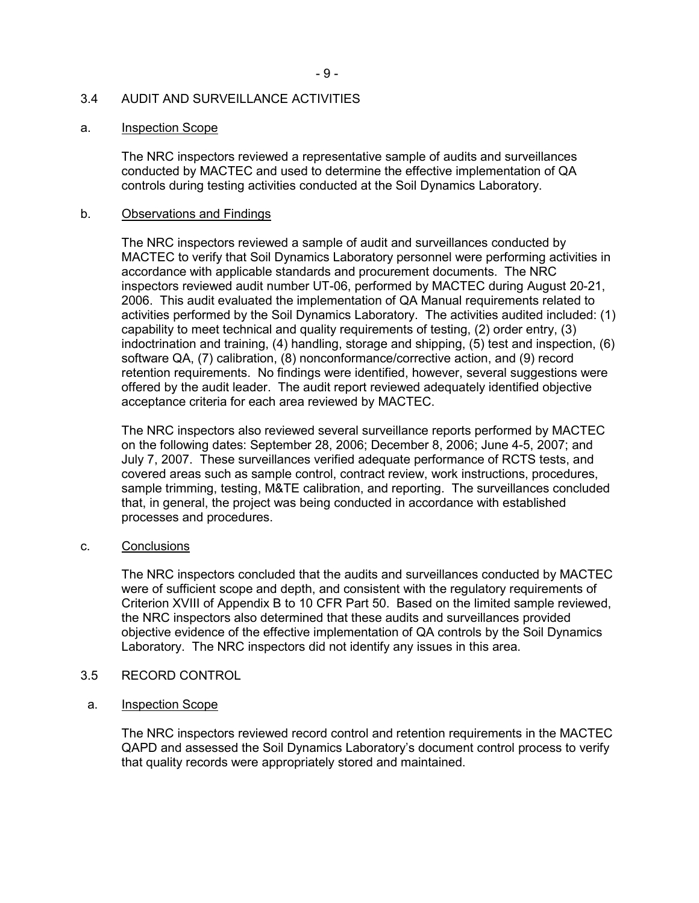### 3.4 AUDIT AND SURVEILLANCE ACTIVITIES

#### a. Inspection Scope

The NRC inspectors reviewed a representative sample of audits and surveillances conducted by MACTEC and used to determine the effective implementation of QA controls during testing activities conducted at the Soil Dynamics Laboratory.

#### b. Observations and Findings

The NRC inspectors reviewed a sample of audit and surveillances conducted by MACTEC to verify that Soil Dynamics Laboratory personnel were performing activities in accordance with applicable standards and procurement documents. The NRC inspectors reviewed audit number UT-06, performed by MACTEC during August 20-21, 2006. This audit evaluated the implementation of QA Manual requirements related to activities performed by the Soil Dynamics Laboratory. The activities audited included: (1) capability to meet technical and quality requirements of testing, (2) order entry, (3) indoctrination and training, (4) handling, storage and shipping, (5) test and inspection, (6) software QA, (7) calibration, (8) nonconformance/corrective action, and (9) record retention requirements. No findings were identified, however, several suggestions were offered by the audit leader. The audit report reviewed adequately identified objective acceptance criteria for each area reviewed by MACTEC.

The NRC inspectors also reviewed several surveillance reports performed by MACTEC on the following dates: September 28, 2006; December 8, 2006; June 4-5, 2007; and July 7, 2007. These surveillances verified adequate performance of RCTS tests, and covered areas such as sample control, contract review, work instructions, procedures, sample trimming, testing, M&TE calibration, and reporting. The surveillances concluded that, in general, the project was being conducted in accordance with established processes and procedures.

#### c. Conclusions

The NRC inspectors concluded that the audits and surveillances conducted by MACTEC were of sufficient scope and depth, and consistent with the regulatory requirements of Criterion XVIII of Appendix B to 10 CFR Part 50. Based on the limited sample reviewed, the NRC inspectors also determined that these audits and surveillances provided objective evidence of the effective implementation of QA controls by the Soil Dynamics Laboratory. The NRC inspectors did not identify any issues in this area.

#### 3.5 RECORD CONTROL

#### a. Inspection Scope

The NRC inspectors reviewed record control and retention requirements in the MACTEC QAPD and assessed the Soil Dynamics Laboratory's document control process to verify that quality records were appropriately stored and maintained.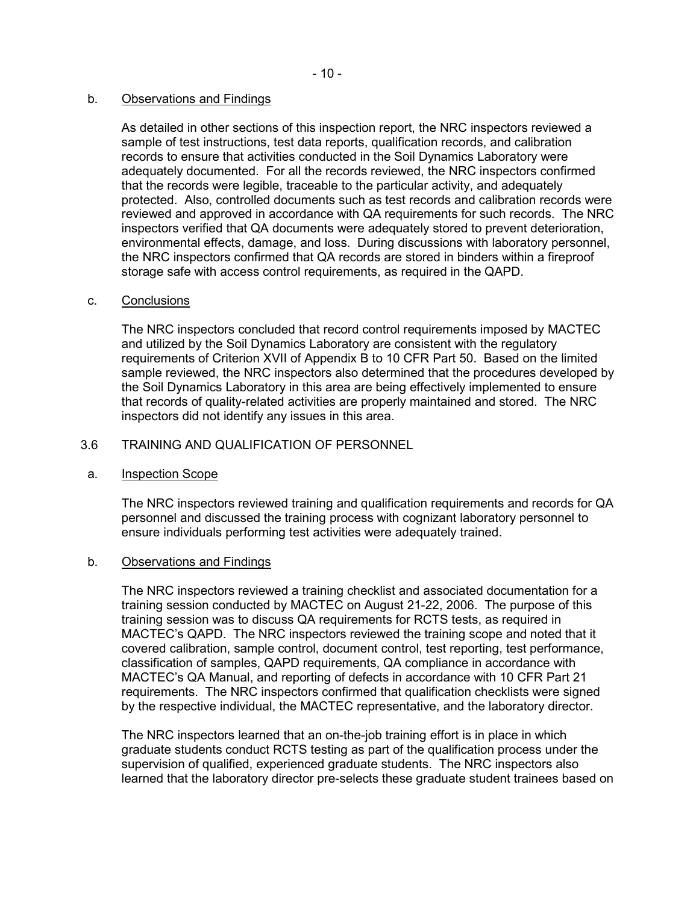## b. Observations and Findings

As detailed in other sections of this inspection report, the NRC inspectors reviewed a sample of test instructions, test data reports, qualification records, and calibration records to ensure that activities conducted in the Soil Dynamics Laboratory were adequately documented. For all the records reviewed, the NRC inspectors confirmed that the records were legible, traceable to the particular activity, and adequately protected. Also, controlled documents such as test records and calibration records were reviewed and approved in accordance with QA requirements for such records. The NRC inspectors verified that QA documents were adequately stored to prevent deterioration, environmental effects, damage, and loss. During discussions with laboratory personnel, the NRC inspectors confirmed that QA records are stored in binders within a fireproof storage safe with access control requirements, as required in the QAPD.

#### c. Conclusions

The NRC inspectors concluded that record control requirements imposed by MACTEC and utilized by the Soil Dynamics Laboratory are consistent with the regulatory requirements of Criterion XVII of Appendix B to 10 CFR Part 50. Based on the limited sample reviewed, the NRC inspectors also determined that the procedures developed by the Soil Dynamics Laboratory in this area are being effectively implemented to ensure that records of quality-related activities are properly maintained and stored. The NRC inspectors did not identify any issues in this area.

## 3.6 TRAINING AND QUALIFICATION OF PERSONNEL

#### a. Inspection Scope

The NRC inspectors reviewed training and qualification requirements and records for QA personnel and discussed the training process with cognizant laboratory personnel to ensure individuals performing test activities were adequately trained.

#### b. Observations and Findings

The NRC inspectors reviewed a training checklist and associated documentation for a training session conducted by MACTEC on August 21-22, 2006. The purpose of this training session was to discuss QA requirements for RCTS tests, as required in MACTEC's QAPD. The NRC inspectors reviewed the training scope and noted that it covered calibration, sample control, document control, test reporting, test performance, classification of samples, QAPD requirements, QA compliance in accordance with MACTEC's QA Manual, and reporting of defects in accordance with 10 CFR Part 21 requirements. The NRC inspectors confirmed that qualification checklists were signed by the respective individual, the MACTEC representative, and the laboratory director.

The NRC inspectors learned that an on-the-job training effort is in place in which graduate students conduct RCTS testing as part of the qualification process under the supervision of qualified, experienced graduate students. The NRC inspectors also learned that the laboratory director pre-selects these graduate student trainees based on